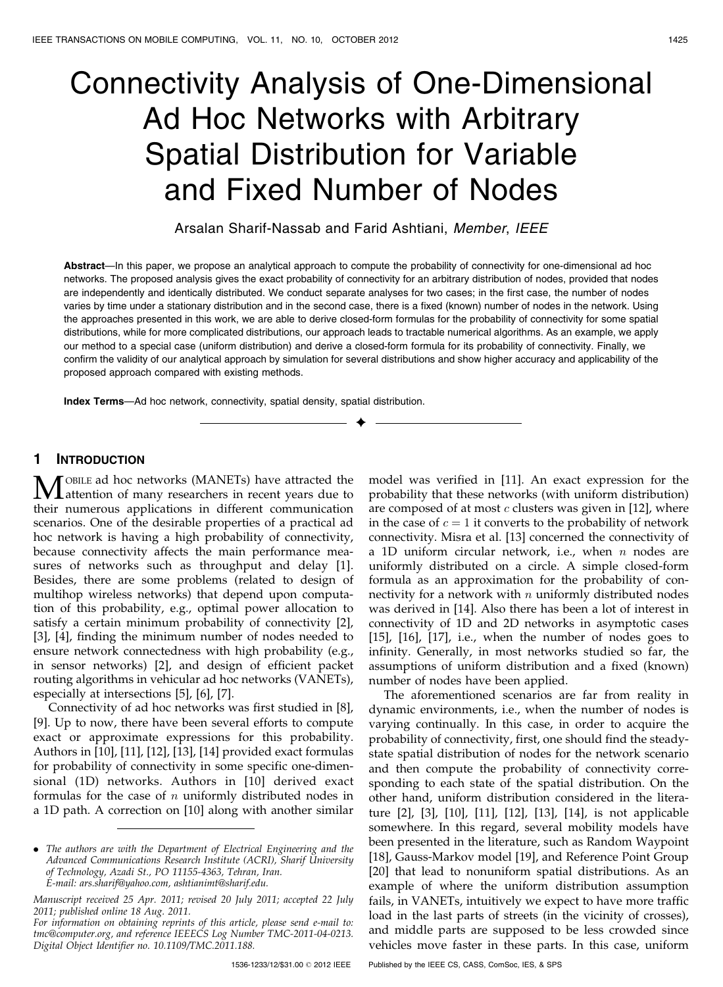# Connectivity Analysis of One-Dimensional Ad Hoc Networks with Arbitrary Spatial Distribution for Variable and Fixed Number of Nodes

Arsalan Sharif-Nassab and Farid Ashtiani, Member, IEEE

Abstract—In this paper, we propose an analytical approach to compute the probability of connectivity for one-dimensional ad hoc networks. The proposed analysis gives the exact probability of connectivity for an arbitrary distribution of nodes, provided that nodes are independently and identically distributed. We conduct separate analyses for two cases; in the first case, the number of nodes varies by time under a stationary distribution and in the second case, there is a fixed (known) number of nodes in the network. Using the approaches presented in this work, we are able to derive closed-form formulas for the probability of connectivity for some spatial distributions, while for more complicated distributions, our approach leads to tractable numerical algorithms. As an example, we apply our method to a special case (uniform distribution) and derive a closed-form formula for its probability of connectivity. Finally, we confirm the validity of our analytical approach by simulation for several distributions and show higher accuracy and applicability of the proposed approach compared with existing methods.

 $\ddotmark$ 

Index Terms—Ad hoc network, connectivity, spatial density, spatial distribution.

## 1 INTRODUCTION

**M**OBILE ad hoc networks (MANETs) have attracted the attention of many researchers in recent years due to the summarized the summarized the summarized the summarized the summarized the summarized the summarized the summari their numerous applications in different communication scenarios. One of the desirable properties of a practical ad hoc network is having a high probability of connectivity, because connectivity affects the main performance measures of networks such as throughput and delay [1]. Besides, there are some problems (related to design of multihop wireless networks) that depend upon computation of this probability, e.g., optimal power allocation to satisfy a certain minimum probability of connectivity [2], [3], [4], finding the minimum number of nodes needed to ensure network connectedness with high probability (e.g., in sensor networks) [2], and design of efficient packet routing algorithms in vehicular ad hoc networks (VANETs), especially at intersections [5], [6], [7].

Connectivity of ad hoc networks was first studied in [8], [9]. Up to now, there have been several efforts to compute exact or approximate expressions for this probability. Authors in [10], [11], [12], [13], [14] provided exact formulas for probability of connectivity in some specific one-dimensional (1D) networks. Authors in [10] derived exact formulas for the case of  $n$  uniformly distributed nodes in a 1D path. A correction on [10] along with another similar

model was verified in [11]. An exact expression for the probability that these networks (with uniform distribution) are composed of at most  $c$  clusters was given in [12], where in the case of  $c = 1$  it converts to the probability of network connectivity. Misra et al. [13] concerned the connectivity of a 1D uniform circular network, i.e., when  $n$  nodes are uniformly distributed on a circle. A simple closed-form formula as an approximation for the probability of connectivity for a network with  $n$  uniformly distributed nodes was derived in [14]. Also there has been a lot of interest in connectivity of 1D and 2D networks in asymptotic cases [15], [16], [17], i.e., when the number of nodes goes to infinity. Generally, in most networks studied so far, the assumptions of uniform distribution and a fixed (known) number of nodes have been applied.

The aforementioned scenarios are far from reality in dynamic environments, i.e., when the number of nodes is varying continually. In this case, in order to acquire the probability of connectivity, first, one should find the steadystate spatial distribution of nodes for the network scenario and then compute the probability of connectivity corresponding to each state of the spatial distribution. On the other hand, uniform distribution considered in the literature [2], [3], [10], [11], [12], [13], [14], is not applicable somewhere. In this regard, several mobility models have been presented in the literature, such as Random Waypoint [18], Gauss-Markov model [19], and Reference Point Group [20] that lead to nonuniform spatial distributions. As an example of where the uniform distribution assumption fails, in VANETs, intuitively we expect to have more traffic load in the last parts of streets (in the vicinity of crosses), and middle parts are supposed to be less crowded since vehicles move faster in these parts. In this case, uniform

<sup>.</sup> The authors are with the Department of Electrical Engineering and the Advanced Communications Research Institute (ACRI), Sharif University of Technology, Azadi St., PO 11155-4363, Tehran, Iran. E-mail: ars.sharif@yahoo.com, ashtianimt@sharif.edu.

Manuscript received 25 Apr. 2011; revised 20 July 2011; accepted 22 July 2011; published online 18 Aug. 2011.

For information on obtaining reprints of this article, please send e-mail to: tmc@computer.org, and reference IEEECS Log Number TMC-2011-04-0213. Digital Object Identifier no. 10.1109/TMC.2011.188.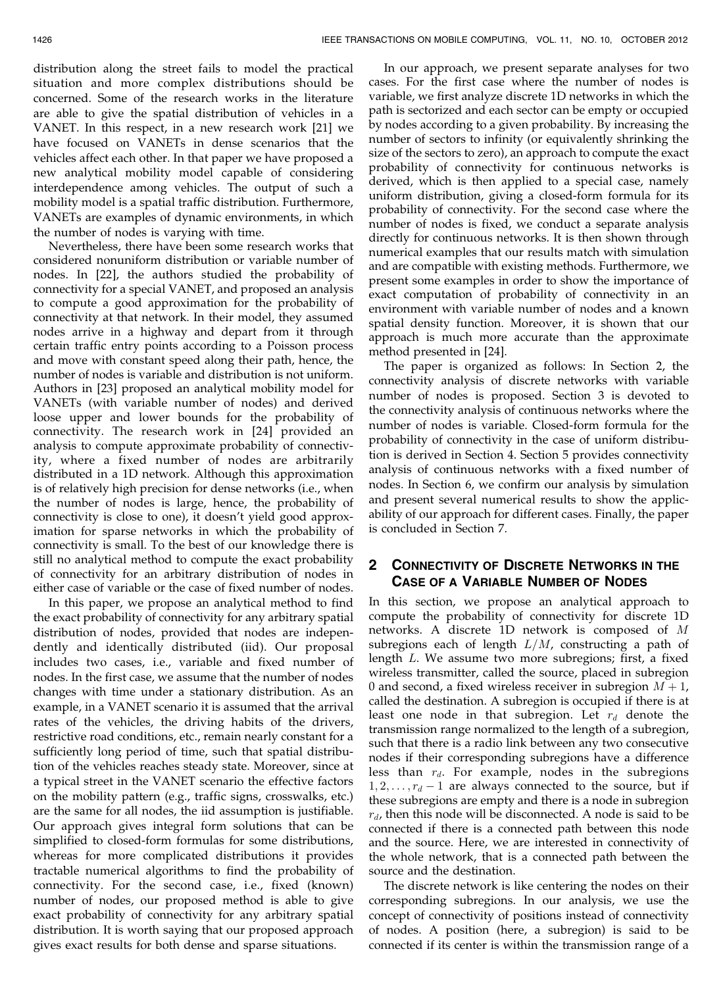distribution along the street fails to model the practical situation and more complex distributions should be concerned. Some of the research works in the literature are able to give the spatial distribution of vehicles in a VANET. In this respect, in a new research work [21] we have focused on VANETs in dense scenarios that the vehicles affect each other. In that paper we have proposed a new analytical mobility model capable of considering interdependence among vehicles. The output of such a mobility model is a spatial traffic distribution. Furthermore, VANETs are examples of dynamic environments, in which the number of nodes is varying with time.

Nevertheless, there have been some research works that considered nonuniform distribution or variable number of nodes. In [22], the authors studied the probability of connectivity for a special VANET, and proposed an analysis to compute a good approximation for the probability of connectivity at that network. In their model, they assumed nodes arrive in a highway and depart from it through certain traffic entry points according to a Poisson process and move with constant speed along their path, hence, the number of nodes is variable and distribution is not uniform. Authors in [23] proposed an analytical mobility model for VANETs (with variable number of nodes) and derived loose upper and lower bounds for the probability of connectivity. The research work in [24] provided an analysis to compute approximate probability of connectivity, where a fixed number of nodes are arbitrarily distributed in a 1D network. Although this approximation is of relatively high precision for dense networks (i.e., when the number of nodes is large, hence, the probability of connectivity is close to one), it doesn't yield good approximation for sparse networks in which the probability of connectivity is small. To the best of our knowledge there is still no analytical method to compute the exact probability of connectivity for an arbitrary distribution of nodes in either case of variable or the case of fixed number of nodes.

In this paper, we propose an analytical method to find the exact probability of connectivity for any arbitrary spatial distribution of nodes, provided that nodes are independently and identically distributed (iid). Our proposal includes two cases, i.e., variable and fixed number of nodes. In the first case, we assume that the number of nodes changes with time under a stationary distribution. As an example, in a VANET scenario it is assumed that the arrival rates of the vehicles, the driving habits of the drivers, restrictive road conditions, etc., remain nearly constant for a sufficiently long period of time, such that spatial distribution of the vehicles reaches steady state. Moreover, since at a typical street in the VANET scenario the effective factors on the mobility pattern (e.g., traffic signs, crosswalks, etc.) are the same for all nodes, the iid assumption is justifiable. Our approach gives integral form solutions that can be simplified to closed-form formulas for some distributions, whereas for more complicated distributions it provides tractable numerical algorithms to find the probability of connectivity. For the second case, i.e., fixed (known) number of nodes, our proposed method is able to give exact probability of connectivity for any arbitrary spatial distribution. It is worth saying that our proposed approach gives exact results for both dense and sparse situations.

In our approach, we present separate analyses for two cases. For the first case where the number of nodes is variable, we first analyze discrete 1D networks in which the path is sectorized and each sector can be empty or occupied by nodes according to a given probability. By increasing the number of sectors to infinity (or equivalently shrinking the size of the sectors to zero), an approach to compute the exact probability of connectivity for continuous networks is derived, which is then applied to a special case, namely uniform distribution, giving a closed-form formula for its probability of connectivity. For the second case where the number of nodes is fixed, we conduct a separate analysis directly for continuous networks. It is then shown through numerical examples that our results match with simulation and are compatible with existing methods. Furthermore, we present some examples in order to show the importance of exact computation of probability of connectivity in an environment with variable number of nodes and a known spatial density function. Moreover, it is shown that our approach is much more accurate than the approximate method presented in [24].

The paper is organized as follows: In Section 2, the connectivity analysis of discrete networks with variable number of nodes is proposed. Section 3 is devoted to the connectivity analysis of continuous networks where the number of nodes is variable. Closed-form formula for the probability of connectivity in the case of uniform distribution is derived in Section 4. Section 5 provides connectivity analysis of continuous networks with a fixed number of nodes. In Section 6, we confirm our analysis by simulation and present several numerical results to show the applicability of our approach for different cases. Finally, the paper is concluded in Section 7.

# 2 CONNECTIVITY OF DISCRETE NETWORKS IN THE CASE OF A VARIABLE NUMBER OF NODES

In this section, we propose an analytical approach to compute the probability of connectivity for discrete 1D networks. A discrete 1D network is composed of M subregions each of length  $L/M$ , constructing a path of length L. We assume two more subregions; first, a fixed wireless transmitter, called the source, placed in subregion 0 and second, a fixed wireless receiver in subregion  $M + 1$ , called the destination. A subregion is occupied if there is at least one node in that subregion. Let  $r_d$  denote the transmission range normalized to the length of a subregion, such that there is a radio link between any two consecutive nodes if their corresponding subregions have a difference less than  $r_d$ . For example, nodes in the subregions  $1, 2, \ldots, r_d - 1$  are always connected to the source, but if these subregions are empty and there is a node in subregion  $r_d$ , then this node will be disconnected. A node is said to be connected if there is a connected path between this node and the source. Here, we are interested in connectivity of the whole network, that is a connected path between the source and the destination.

The discrete network is like centering the nodes on their corresponding subregions. In our analysis, we use the concept of connectivity of positions instead of connectivity of nodes. A position (here, a subregion) is said to be connected if its center is within the transmission range of a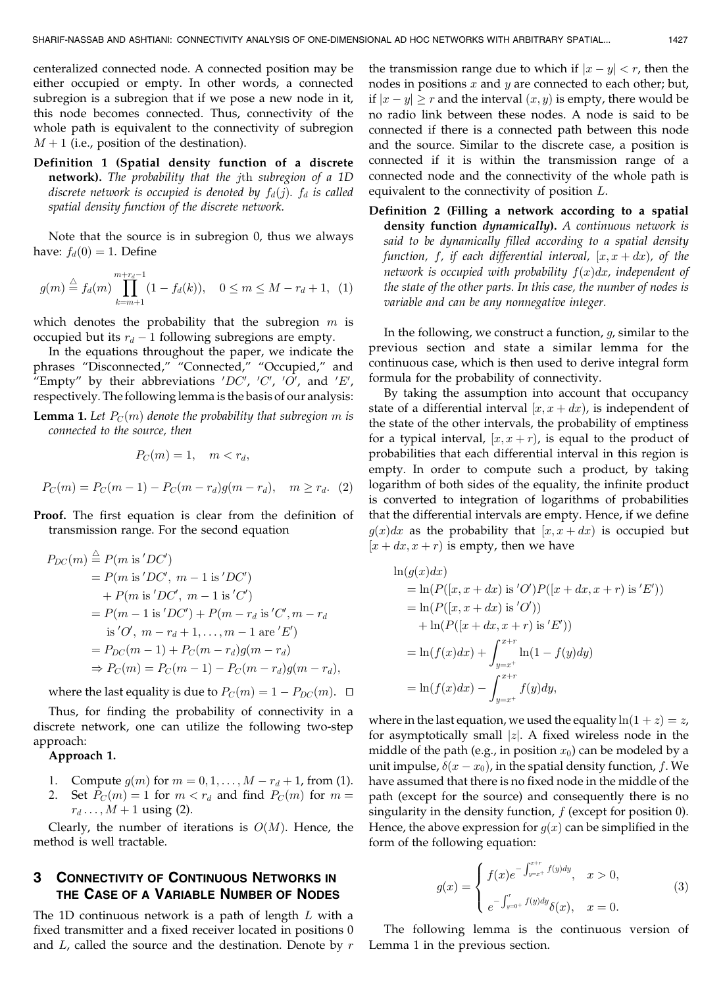centeralized connected node. A connected position may be either occupied or empty. In other words, a connected subregion is a subregion that if we pose a new node in it, this node becomes connected. Thus, connectivity of the whole path is equivalent to the connectivity of subregion  $M + 1$  (i.e., position of the destination).

Definition 1 (Spatial density function of a discrete network). The probability that the jth subregion of a 1D discrete network is occupied is denoted by  $f_d(j)$ .  $f_d$  is called spatial density function of the discrete network.

Note that the source is in subregion 0, thus we always have:  $f_d(0) = 1$ . Define

$$
g(m) \stackrel{\triangle}{=} f_d(m) \prod_{k=m+1}^{m+r_d-1} (1 - f_d(k)), \quad 0 \le m \le M - r_d + 1, \tag{1}
$$

which denotes the probability that the subregion  $m$  is occupied but its  $r_d - 1$  following subregions are empty.

In the equations throughout the paper, we indicate the phrases "Disconnected," "Connected," "Occupied," and "Empty" by their abbreviations  $'DC'$ ,  $'C'$ ,  $'O'$ , and  $'E'$ , respectively. The following lemma is the basis of our analysis:

**Lemma 1.** Let  $P_C(m)$  denote the probability that subregion m is connected to the source, then

$$
P_C(m) = 1, \quad m < r_d,
$$

$$
P_C(m) = P_C(m-1) - P_C(m - r_d)g(m - r_d), \quad m \ge r_d. \tag{2}
$$

Proof. The first equation is clear from the definition of transmission range. For the second equation

$$
P_{DC}(m) \stackrel{\triangle}{=} P(m \text{ is } 'DC')
$$
  
=  $P(m \text{ is } 'DC', m - 1 \text{ is } 'DC')$   
+  $P(m \text{ is } 'DC', m - 1 \text{ is } 'C')$   
=  $P(m - 1 \text{ is } 'DC') + P(m - r_d \text{ is } 'C', m - r_d$   
is  $'O', m - r_d + 1, ..., m - 1 \text{ are } 'E')$   
=  $P_{DC}(m - 1) + P_C(m - r_d)g(m - r_d)$   
 $\Rightarrow P_C(m) = P_C(m - 1) - P_C(m - r_d)g(m - r_d),$ 

where the last equality is due to  $P_C(m) = 1 - P_{DC}(m)$ .  $\Box$ 

Thus, for finding the probability of connectivity in a discrete network, one can utilize the following two-step approach:

Approach 1.

- 1. Compute  $g(m)$  for  $m = 0, 1, ..., M r_d + 1$ , from (1).
- Set  $P_C(m) = 1$  for  $m < r_d$  and find  $P_C(m)$  for  $m =$  $r_d \ldots$ ,  $M + 1$  using (2).

Clearly, the number of iterations is  $O(M)$ . Hence, the method is well tractable.

## 3 CONNECTIVITY OF CONTINUOUS NETWORKS IN THE CASE OF A VARIABLE NUMBER OF NODES

The 1D continuous network is a path of length  $L$  with a fixed transmitter and a fixed receiver located in positions 0 and  $L$ , called the source and the destination. Denote by  $r$ 

the transmission range due to which if  $|x-y| < r$ , then the nodes in positions  $x$  and  $y$  are connected to each other; but, if  $|x-y| \geq r$  and the interval  $(x, y)$  is empty, there would be no radio link between these nodes. A node is said to be connected if there is a connected path between this node and the source. Similar to the discrete case, a position is connected if it is within the transmission range of a connected node and the connectivity of the whole path is equivalent to the connectivity of position L.

Definition 2 (Filling a network according to a spatial density function dynamically). A continuous network is said to be dynamically filled according to a spatial density function, f, if each differential interval,  $[x, x + dx)$ , of the network is occupied with probability  $f(x)dx$ , independent of the state of the other parts. In this case, the number of nodes is variable and can be any nonnegative integer.

In the following, we construct a function,  $g$ , similar to the previous section and state a similar lemma for the continuous case, which is then used to derive integral form formula for the probability of connectivity.

By taking the assumption into account that occupancy state of a differential interval  $[x, x + dx)$ , is independent of the state of the other intervals, the probability of emptiness for a typical interval,  $[x, x + r)$ , is equal to the product of probabilities that each differential interval in this region is empty. In order to compute such a product, by taking logarithm of both sides of the equality, the infinite product is converted to integration of logarithms of probabilities that the differential intervals are empty. Hence, if we define  $g(x)dx$  as the probability that  $[x, x + dx)$  is occupied but  $[x + dx, x + r]$  is empty, then we have

$$
\ln(g(x)dx)
$$
  
= ln(P([x, x + dx) is 'O')P([x + dx, x + r) is 'E'))  
= ln(P([x, x + dx) is 'O'))  
+ ln(P([x + dx, x + r) is 'E'))  
= ln(f(x)dx) +  $\int_{y=x^+}^{x+r}$ ln(1 - f(y)dy)  
= ln(f(x)dx) -  $\int_{y=x^+}^{x+r} f(y)dy$ ,

where in the last equation, we used the equality  $ln(1 + z) = z$ , for asymptotically small  $|z|$ . A fixed wireless node in the middle of the path (e.g., in position  $x_0$ ) can be modeled by a unit impulse,  $\delta(x-x_0)$ , in the spatial density function,  $f$ . We have assumed that there is no fixed node in the middle of the path (except for the source) and consequently there is no singularity in the density function,  $f$  (except for position 0). Hence, the above expression for  $g(x)$  can be simplified in the form of the following equation:

$$
g(x) = \begin{cases} f(x)e^{-\int_{y=x^+}^{x+r} f(y)dy}, & x > 0, \\ e^{-\int_{y=0^+}^{r} f(y)dy} \delta(x), & x = 0. \end{cases}
$$
(3)

The following lemma is the continuous version of Lemma 1 in the previous section.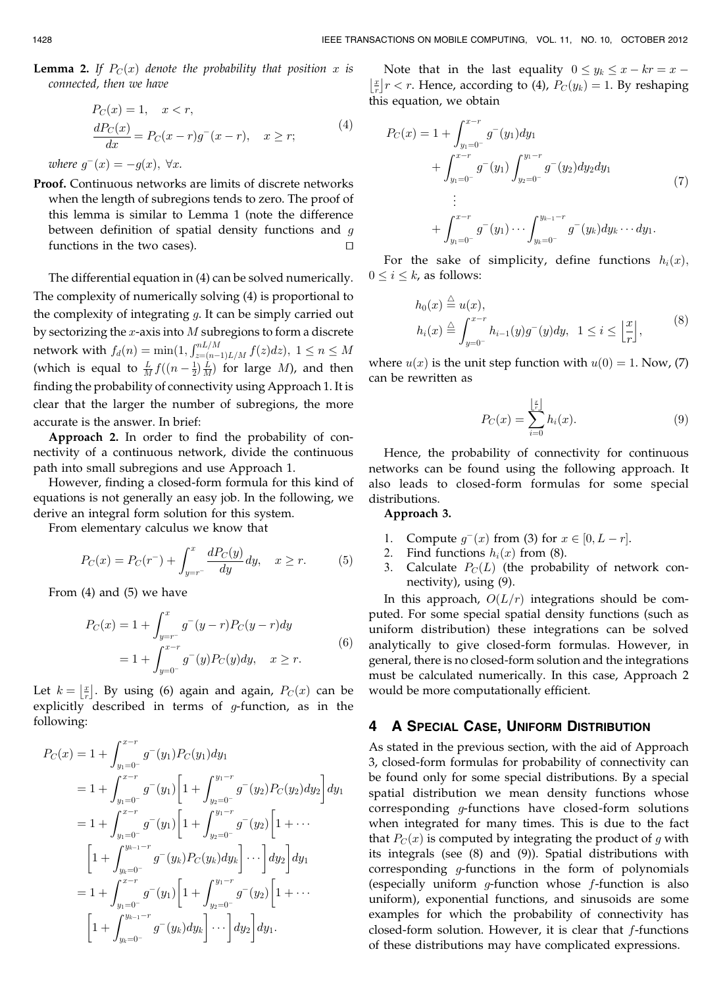**Lemma 2.** If  $P_C(x)$  denote the probability that position x is connected, then we have

$$
P_C(x) = 1, \quad x < r,
$$
  
\n
$$
\frac{dP_C(x)}{dx} = P_C(x - r)g^-(x - r), \quad x \ge r;
$$
\n(4)

where  $g^{-}(x) = -g(x), \ \forall x$ .

Proof. Continuous networks are limits of discrete networks when the length of subregions tends to zero. The proof of this lemma is similar to Lemma 1 (note the difference between definition of spatial density functions and  $g$ functions in the two cases).  $\Box$ 

The differential equation in (4) can be solved numerically. The complexity of numerically solving (4) is proportional to the complexity of integrating  $g$ . It can be simply carried out by sectorizing the  $x$ -axis into  $M$  subregions to form a discrete network with  $f_d(n) = \min(1, \int_{z=(n-1)}^{nL/M}$  $\sum_{z=(n-1)L/M}^{nL/M} f(z)dz$ ,  $1 \le n \le M$ (which is equal to  $\frac{L}{M} f((n - \frac{1}{2})\frac{L}{M})$  for large *M*), and then finding the probability of connectivity using Approach 1. It is clear that the larger the number of subregions, the more accurate is the answer. In brief:

Approach 2. In order to find the probability of connectivity of a continuous network, divide the continuous path into small subregions and use Approach 1.

However, finding a closed-form formula for this kind of equations is not generally an easy job. In the following, we derive an integral form solution for this system.

From elementary calculus we know that

$$
P_C(x) = P_C(r^{-}) + \int_{y=r^{-}}^{x} \frac{dP_C(y)}{dy} dy, \quad x \ge r.
$$
 (5)

From (4) and (5) we have

$$
P_C(x) = 1 + \int_{y=r^-}^{x} g^{-}(y-r)P_C(y-r)dy
$$
  
= 1 +  $\int_{y=0^-}^{x-r} g^{-}(y)P_C(y)dy$ ,  $x \ge r$ . (6)

Let  $k = \left\lfloor \frac{x}{r} \right\rfloor$  $\left|\frac{x}{r}\right|$ . By using (6) again and again,  $P_C(x)$  can be explicitly described in terms of  $g$ -function, as in the following:

$$
P_C(x) = 1 + \int_{y_1=0^-}^{x-r} g^{-}(y_1) P_C(y_1) dy_1
$$
  
\n
$$
= 1 + \int_{y_1=0^-}^{x-r} g^{-}(y_1) \left[ 1 + \int_{y_2=0^-}^{y_1-r} g^{-}(y_2) P_C(y_2) dy_2 \right] dy_1
$$
  
\n
$$
= 1 + \int_{y_1=0^-}^{x-r} g^{-}(y_1) \left[ 1 + \int_{y_2=0^-}^{y_1-r} g^{-}(y_2) \left[ 1 + \cdots \right] \right. \\
\left. \left[ 1 + \int_{y_k=0^-}^{y_{k-1}-r} g^{-}(y_k) P_C(y_k) dy_k \right] \cdots \right] dy_2 \left] dy_1
$$
  
\n
$$
= 1 + \int_{y_1=0^-}^{x-r} g^{-}(y_1) \left[ 1 + \int_{y_2=0^-}^{y_1-r} g^{-}(y_2) \left[ 1 + \cdots \right] \right. \\
\left. \left[ 1 + \int_{y_k=0^-}^{y_{k-1}-r} g^{-}(y_k) dy_k \right] \cdots \right] dy_2 \left] dy_1.
$$

Note that in the last equality  $0 \leq y_k \leq x - kr = x - kr$ x r Fight  $\left|\frac{x}{r}\right|$ r < r. Hence, according to (4),  $P_C(y_k) = 1$ . By reshaping this equation, we obtain

$$
P_C(x) = 1 + \int_{y_1=0^-}^{x-r} g^{-}(y_1) dy_1
$$
  
+ 
$$
\int_{y_1=0^-}^{x-r} g^{-}(y_1) \int_{y_2=0^-}^{y_1-r} g^{-}(y_2) dy_2 dy_1
$$
  
+ 
$$
\int_{y_1=0^-}^{x-r} g^{-}(y_1) \cdots \int_{y_k=0^-}^{y_{k-1}-r} g^{-}(y_k) dy_k \cdots dy_1.
$$
 (7)

For the sake of simplicity, define functions  $h_i(x)$ ,  $0 \le i \le k$ , as follows:

$$
h_0(x) \stackrel{\triangle}{=} u(x),
$$
  
\n
$$
h_i(x) \stackrel{\triangle}{=} \int_{y=0^-}^{x-r} h_{i-1}(y)g^-(y)dy, \quad 1 \leq i \leq \left\lfloor \frac{x}{r} \right\rfloor,
$$
\n<sup>(8)</sup>

where  $u(x)$  is the unit step function with  $u(0) = 1$ . Now, (7) can be rewritten as

$$
P_C(x) = \sum_{i=0}^{\left\lfloor \frac{x}{r} \right\rfloor} h_i(x).
$$
 (9)

Hence, the probability of connectivity for continuous networks can be found using the following approach. It also leads to closed-form formulas for some special distributions.

## Approach 3.

- 1. Compute  $g^{-}(x)$  from (3) for  $x \in [0, L r]$ .
- 2. Find functions  $h_i(x)$  from (8).
- 3. Calculate  $P<sub>C</sub>(L)$  (the probability of network connectivity), using (9).

In this approach,  $O(L/r)$  integrations should be computed. For some special spatial density functions (such as uniform distribution) these integrations can be solved analytically to give closed-form formulas. However, in general, there is no closed-form solution and the integrations must be calculated numerically. In this case, Approach 2 would be more computationally efficient.

## 4 ASPECIAL CASE, UNIFORM DISTRIBUTION

As stated in the previous section, with the aid of Approach 3, closed-form formulas for probability of connectivity can be found only for some special distributions. By a special spatial distribution we mean density functions whose corresponding g-functions have closed-form solutions when integrated for many times. This is due to the fact that  $P_C(x)$  is computed by integrating the product of g with its integrals (see (8) and (9)). Spatial distributions with corresponding g-functions in the form of polynomials (especially uniform  $g$ -function whose  $f$ -function is also uniform), exponential functions, and sinusoids are some examples for which the probability of connectivity has closed-form solution. However, it is clear that f-functions of these distributions may have complicated expressions.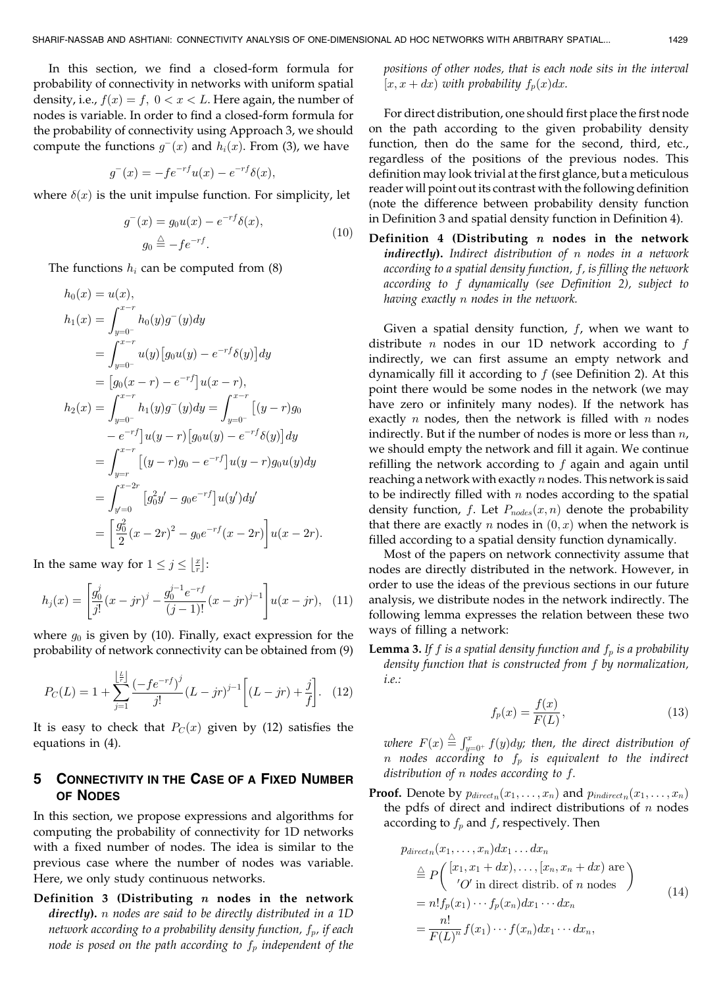In this section, we find a closed-form formula for probability of connectivity in networks with uniform spatial density, i.e.,  $f(x) = f$ ,  $0 < x < L$ . Here again, the number of nodes is variable. In order to find a closed-form formula for the probability of connectivity using Approach 3, we should compute the functions  $g^{-}(x)$  and  $h_i(x)$ . From (3), we have

$$
g^{-}(x) = -fe^{-rf}u(x) - e^{-rf}\delta(x),
$$

where  $\delta(x)$  is the unit impulse function. For simplicity, let

$$
g^{-}(x) = g_0 u(x) - e^{-rf} \delta(x),
$$
  
\n
$$
g_0 \stackrel{\triangle}{=} -f e^{-rf}.
$$
\n(10)

The functions  $h_i$  can be computed from  $(8)$ 

$$
h_0(x) = u(x),
$$
  
\n
$$
h_1(x) = \int_{y=0^-}^{x-r} h_0(y)g^{-}(y)dy
$$
  
\n
$$
= \int_{y=0^-}^{x-r} u(y)[g_0u(y) - e^{-rf}\delta(y)]dy
$$
  
\n
$$
= [g_0(x-r) - e^{-rf}]u(x-r),
$$
  
\n
$$
h_2(x) = \int_{y=0^-}^{x-r} h_1(y)g^{-}(y)dy = \int_{y=0^-}^{x-r} [(y-r)g_0
$$
  
\n
$$
- e^{-rf}]u(y-r)[g_0u(y) - e^{-rf}\delta(y)]dy
$$
  
\n
$$
= \int_{y=r}^{x-r} [(y-r)g_0 - e^{-rf}]u(y-r)g_0u(y)dy
$$
  
\n
$$
= \int_{y'=0}^{x-2r} [g_0^2y'-g_0e^{-rf}]u(y')dy
$$
  
\n
$$
= \left[\frac{g_0^2}{2}(x-2r)^2 - g_0e^{-rf}(x-2r)\right]u(x-2r).
$$

In the same way for  $1 \leq j \leq \left\lfloor \frac{x}{r} \right\rfloor$  $\left|\frac{x}{r}\right|$ :

$$
h_j(x) = \left[\frac{g_0^j}{j!}(x - jr)^j - \frac{g_0^{j-1}e^{-rf}}{(j-1)!}(x - jr)^{j-1}\right]u(x - jr), \quad (11)
$$

where  $g_0$  is given by (10). Finally, exact expression for the probability of network connectivity can be obtained from (9)

$$
P_C(L) = 1 + \sum_{j=1}^{\lfloor \frac{L}{r} \rfloor} \frac{(-fe^{-rf})^j}{j!} (L - jr)^{j-1} \left[ (L - jr) + \frac{j}{f} \right]. \tag{12}
$$

It is easy to check that  $P_C(x)$  given by (12) satisfies the equations in (4).

## 5 CONNECTIVITY IN THE CASE OF A FIXED NUMBER OF NODES

In this section, we propose expressions and algorithms for computing the probability of connectivity for 1D networks with a fixed number of nodes. The idea is similar to the previous case where the number of nodes was variable. Here, we only study continuous networks.

Definition 3 (Distributing  $n$  nodes in the network **directly).** *n* nodes are said to be directly distributed in a 1D network according to a probability density function,  $f_p$ , if each node is posed on the path according to  $f_p$  independent of the

positions of other nodes, that is each node sits in the interval  $[x, x + dx)$  with probability  $f_p(x)dx$ .

For direct distribution, one should first place the first node on the path according to the given probability density function, then do the same for the second, third, etc., regardless of the positions of the previous nodes. This definition may look trivial at the first glance, but a meticulous reader will point out its contrast with the following definition (note the difference between probability density function in Definition 3 and spatial density function in Definition 4).

Definition 4 (Distributing  $n$  nodes in the network indirectly). Indirect distribution of  $n$  nodes in a network according to a spatial density function, f, is filling the network according to f dynamically (see Definition 2), subject to having exactly n nodes in the network.

Given a spatial density function,  $f$ , when we want to distribute *n* nodes in our 1D network according to  $f$ indirectly, we can first assume an empty network and dynamically fill it according to  $f$  (see Definition 2). At this point there would be some nodes in the network (we may have zero or infinitely many nodes). If the network has exactly  $n$  nodes, then the network is filled with  $n$  nodes indirectly. But if the number of nodes is more or less than  $n$ , we should empty the network and fill it again. We continue refilling the network according to  $f$  again and again until reaching a network with exactly  $n$  nodes. This network is said to be indirectly filled with  $n$  nodes according to the spatial density function, f. Let  $P_{nodes}(x, n)$  denote the probability that there are exactly *n* nodes in  $(0, x)$  when the network is filled according to a spatial density function dynamically.

Most of the papers on network connectivity assume that nodes are directly distributed in the network. However, in order to use the ideas of the previous sections in our future analysis, we distribute nodes in the network indirectly. The following lemma expresses the relation between these two ways of filling a network:

**Lemma 3.** If f is a spatial density function and  $f_p$  is a probability density function that is constructed from f by normalization, i.e.:

$$
f_p(x) = \frac{f(x)}{F(L)},
$$
\n(13)

where  $F(x)\stackrel{\triangle}{=} \int_{y=0^+}^xf(y)dy$ ; then, the direct distribution of *n* nodes according to  $f_p$  is equivalent to the indirect distribution of  $n$  nodes according to  $f$ .

**Proof.** Denote by  $p_{direct_n}(x_1, \ldots, x_n)$  and  $p_{indirect_n}(x_1, \ldots, x_n)$ the pdfs of direct and indirect distributions of  $n$  nodes according to  $f_p$  and  $f$ , respectively. Then

$$
p_{directn}(x_1, \ldots, x_n) dx_1 \ldots dx_n
$$
  
\n
$$
\stackrel{\triangle}{=} P \begin{pmatrix} [x_1, x_1 + dx), \ldots, [x_n, x_n + dx] \text{ are} \\ 'O' \text{ in direct distrib. of } n \text{ nodes} \end{pmatrix}
$$
  
\n
$$
= n! f_p(x_1) \cdots f_p(x_n) dx_1 \cdots dx_n
$$
  
\n
$$
= \frac{n!}{F(L)^n} f(x_1) \cdots f(x_n) dx_1 \cdots dx_n,
$$
\n(14)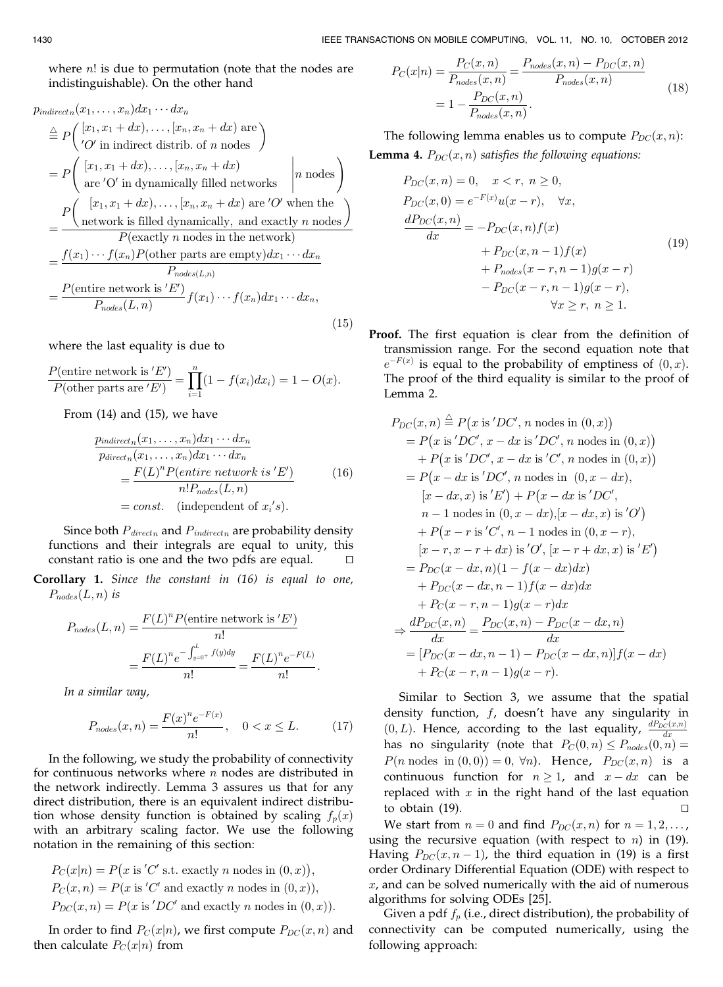where  $n!$  is due to permutation (note that the nodes are indistinguishable). On the other hand

$$
p_{indirect_n}(x_1, ..., x_n)dx_1 \cdots dx_n
$$
\n
$$
\stackrel{\triangle}{=} P\left(\begin{bmatrix} x_1, x_1 + dx \end{bmatrix}, \dots, \begin{bmatrix} x_n, x_n + dx \end{bmatrix} \text{ are } 0\right)
$$
\n
$$
= P\left(\begin{bmatrix} x_1, x_1 + dx \end{bmatrix}, \dots, \begin{bmatrix} x_n, x_n + dx \end{bmatrix} \text{ and } 0\right)
$$
\n
$$
= P\left(\begin{bmatrix} x_1, x_1 + dx \end{bmatrix}, \dots, \begin{bmatrix} x_n, x_n + dx \end{bmatrix} \text{ are 'O' when the } 0\right)
$$
\n
$$
= \frac{P\left(\begin{bmatrix} x_1, x_1 + dx \end{bmatrix}, \dots, \begin{bmatrix} x_n, x_n + dx \end{bmatrix} \text{ are 'O' when the } 0\right)}{P(\text{exactly } n \text{ nodes in the network})}
$$
\n
$$
= \frac{f(x_1) \cdots f(x_n) P(\text{other parts are empty})dx_1 \cdots dx_n}{P_{nodes}(L,n)}
$$
\n
$$
= \frac{P(\text{entire network is 'E')}{P_{nodes}(L,n)} f(x_1) \cdots f(x_n)dx_1 \cdots dx_n,
$$
\n(15)

where the last equality is due to

$$
\frac{P(\text{entire network is 'E')}}{P(\text{other parts are 'E')} = \prod_{i=1}^{n} (1 - f(x_i)dx_i) = 1 - O(x).
$$

From (14) and (15), we have

$$
\frac{p_{indirect_n}(x_1, \ldots, x_n)dx_1 \cdots dx_n}{p_{direct_n}(x_1, \ldots, x_n)dx_1 \cdots dx_n}
$$
\n
$$
= \frac{F(L)^n P(entire network is 'E')}{n!P_{nodes}(L, n)}
$$
\n= const. (independent of  $x_i$ 's). (16)

Since both  $P_{directn}$  and  $P_{indirect}$  are probability density functions and their integrals are equal to unity, this constant ratio is one and the two pdfs are equal.  $\Box$ 

**Corollary 1.** Since the constant in (16) is equal to one,  $P_{nodes}(L, n)$  is

$$
P_{nodes}(L, n) = \frac{F(L)^n P(\text{entire network is 'E'})}{n!}
$$

$$
= \frac{F(L)^n e^{-\int_{y=0^+}^L f(y) dy}}{n!} = \frac{F(L)^n e^{-F(L)}}{n!}.
$$

In a similar way,

$$
P_{nodes}(x, n) = \frac{F(x)^n e^{-F(x)}}{n!}, \quad 0 < x \le L. \tag{17}
$$

In the following, we study the probability of connectivity for continuous networks where  $n$  nodes are distributed in the network indirectly. Lemma 3 assures us that for any direct distribution, there is an equivalent indirect distribution whose density function is obtained by scaling  $f_p(x)$ with an arbitrary scaling factor. We use the following notation in the remaining of this section:

$$
P_C(x|n) = P(x \text{ is } 'C' \text{ s.t. exactly } n \text{ nodes in } (0, x)),
$$
  
\n
$$
P_C(x, n) = P(x \text{ is } 'C' \text{ and exactly } n \text{ nodes in } (0, x)),
$$
  
\n
$$
P_{DC}(x, n) = P(x \text{ is } 'DC' \text{ and exactly } n \text{ nodes in } (0, x)).
$$

In order to find  $P_C(x|n)$ , we first compute  $P_{DC}(x, n)$  and then calculate  $P_C(x|n)$  from

$$
P_C(x|n) = \frac{P_C(x,n)}{P_{nodes}(x,n)} = \frac{P_{nodes}(x,n) - P_{DC}(x,n)}{P_{nodes}(x,n)}
$$

$$
= 1 - \frac{P_{DC}(x,n)}{P_{nodes}(x,n)}.
$$
(18)

The following lemma enables us to compute  $P_{DC}(x, n)$ : **Lemma 4.**  $P_{DC}(x, n)$  satisfies the following equations:

$$
P_{DC}(x, n) = 0, \quad x < r, \quad n \ge 0,
$$
\n
$$
P_{DC}(x, 0) = e^{-F(x)}u(x - r), \quad \forall x,
$$
\n
$$
\frac{dP_{DC}(x, n)}{dx} = -P_{DC}(x, n)f(x)
$$
\n
$$
+ P_{DC}(x, n - 1)f(x)
$$
\n
$$
+ P_{nodes}(x - r, n - 1)g(x - r)
$$
\n
$$
- P_{DC}(x - r, n - 1)g(x - r), \quad \forall x \ge r, \quad n \ge 1.
$$
\n
$$
(19)
$$

Proof. The first equation is clear from the definition of transmission range. For the second equation note that  $e^{-F(x)}$  is equal to the probability of emptiness of  $(0, x)$ . The proof of the third equality is similar to the proof of Lemma 2.

$$
P_{DC}(x, n) \stackrel{\triangle}{=} P(x \text{ is } 'DC', n \text{ nodes in } (0, x))
$$
  
=  $P(x \text{ is } 'DC', x - dx \text{ is } 'DC', n \text{ nodes in } (0, x))$   
+  $P(x \text{ is } 'DC', x - dx \text{ is } 'C', n \text{ nodes in } (0, x))$   
=  $P(x - dx \text{ is } 'DC', n \text{ nodes in } (0, x - dx),$   
 $[x - dx, x) \text{ is } 'E') + P(x - dx \text{ is } 'DC',$   
 $n - 1 \text{ nodes in } (0, x - dx), [x - dx, x) \text{ is } 'O')$   
+  $P(x - r \text{ is } 'C', n - 1 \text{ nodes in } (0, x - r),$   
 $[x - r, x - r + dx) \text{ is } 'O', [x - r + dx, x) \text{ is } 'E')$   
=  $P_{DC}(x - dx, n)(1 - f(x - dx)dx)$   
+  $P_{DC}(x - dx, n - 1)f(x - dx)dx$   
+  $P_{C}(x - r, n - 1)g(x - r)dx$   
 $\Rightarrow \frac{dP_{DC}(x, n)}{dx} = \frac{P_{DC}(x, n) - P_{DC}(x - dx, n)}{dx}$   
=  $[P_{DC}(x - dx, n - 1) - P_{DC}(x - dx, n)]f(x - dx)$   
+  $P_{C}(x - r, n - 1)g(x - r).$ 

Similar to Section 3, we assume that the spatial density function, f, doesn't have any singularity in  $(0, L)$ . Hence, according to the last equality,  $\frac{dP_{DC}(x,n)}{dx}$ has no singularity (note that  $P_C(0, n) \leq P_{nodes}(0, n) =$  $P(n \text{ nodes in } (0,0)) = 0, \forall n$ . Hence,  $P_{DC}(x,n)$  is a continuous function for  $n \geq 1$ , and  $x - dx$  can be replaced with  $x$  in the right hand of the last equation to obtain  $(19)$ .

We start from  $n = 0$  and find  $P_{DC}(x, n)$  for  $n = 1, 2, \ldots$ , using the recursive equation (with respect to  $n$ ) in (19). Having  $P_{DC}(x,n-1)$ , the third equation in (19) is a first order Ordinary Differential Equation (ODE) with respect to  $x$ , and can be solved numerically with the aid of numerous algorithms for solving ODEs [25].

Given a pdf  $f_p$  (i.e., direct distribution), the probability of connectivity can be computed numerically, using the following approach: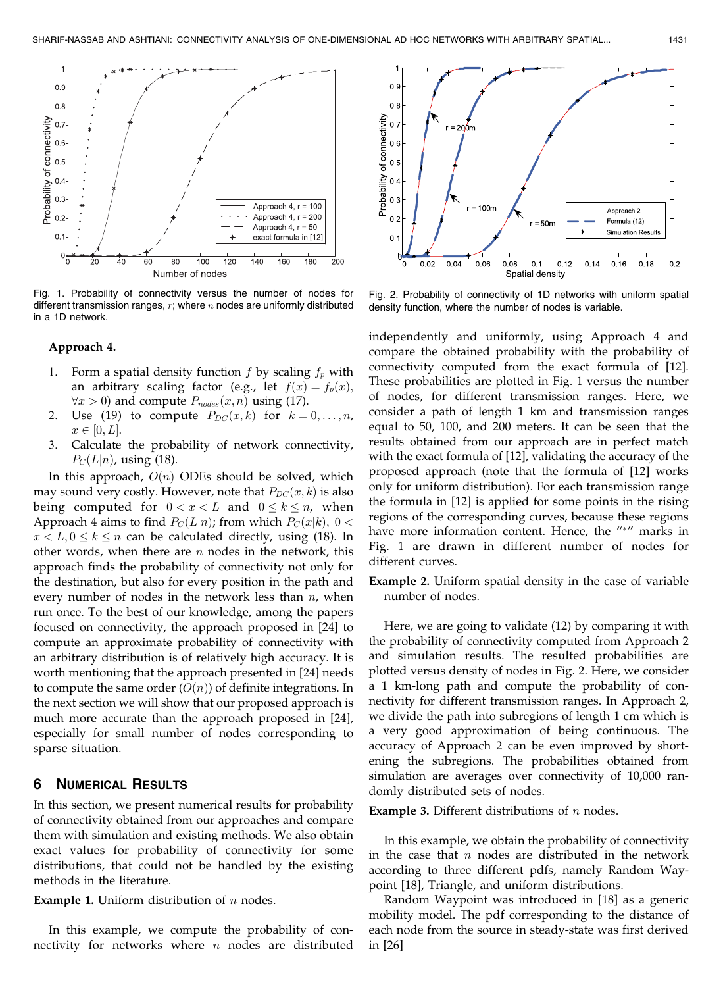

Fig. 1. Probability of connectivity versus the number of nodes for different transmission ranges,  $r$ ; where  $n$  nodes are uniformly distributed in a 1D network.

#### Approach 4.

- 1. Form a spatial density function  $f$  by scaling  $f_p$  with an arbitrary scaling factor (e.g., let  $f(x) = f_p(x)$ ,  $\forall x > 0$ ) and compute  $P_{nodes}(x, n)$  using (17).
- 2. Use (19) to compute  $P_{DC}(x, k)$  for  $k = 0, \ldots, n$ ,  $x \in [0, L].$
- 3. Calculate the probability of network connectivity,  $P<sub>C</sub>(L|n)$ , using (18).

In this approach,  $O(n)$  ODEs should be solved, which may sound very costly. However, note that  $P_{DC}(x, k)$  is also being computed for  $0 < x < L$  and  $0 \le k \le n$ , when Approach 4 aims to find  $P_C(L|n)$ ; from which  $P_C(x|k)$ , 0 <  $x < L$ ,  $0 \le k \le n$  can be calculated directly, using (18). In other words, when there are  $n$  nodes in the network, this approach finds the probability of connectivity not only for the destination, but also for every position in the path and every number of nodes in the network less than  $n$ , when run once. To the best of our knowledge, among the papers focused on connectivity, the approach proposed in [24] to compute an approximate probability of connectivity with an arbitrary distribution is of relatively high accuracy. It is worth mentioning that the approach presented in [24] needs to compute the same order  $(O(n))$  of definite integrations. In the next section we will show that our proposed approach is much more accurate than the approach proposed in [24], especially for small number of nodes corresponding to sparse situation.

#### 6 NUMERICAL RESULTS

In this section, we present numerical results for probability of connectivity obtained from our approaches and compare them with simulation and existing methods. We also obtain exact values for probability of connectivity for some distributions, that could not be handled by the existing methods in the literature.

**Example 1.** Uniform distribution of  $n$  nodes.

In this example, we compute the probability of connectivity for networks where  $n$  nodes are distributed



Fig. 2. Probability of connectivity of 1D networks with uniform spatial density function, where the number of nodes is variable.

independently and uniformly, using Approach 4 and compare the obtained probability with the probability of connectivity computed from the exact formula of [12]. These probabilities are plotted in Fig. 1 versus the number of nodes, for different transmission ranges. Here, we consider a path of length 1 km and transmission ranges equal to 50, 100, and 200 meters. It can be seen that the results obtained from our approach are in perfect match with the exact formula of [12], validating the accuracy of the proposed approach (note that the formula of [12] works only for uniform distribution). For each transmission range the formula in [12] is applied for some points in the rising regions of the corresponding curves, because these regions have more information content. Hence, the "\*" marks in Fig. 1 are drawn in different number of nodes for different curves.

Example 2. Uniform spatial density in the case of variable number of nodes.

Here, we are going to validate (12) by comparing it with the probability of connectivity computed from Approach 2 and simulation results. The resulted probabilities are plotted versus density of nodes in Fig. 2. Here, we consider a 1 km-long path and compute the probability of connectivity for different transmission ranges. In Approach 2, we divide the path into subregions of length 1 cm which is a very good approximation of being continuous. The accuracy of Approach 2 can be even improved by shortening the subregions. The probabilities obtained from simulation are averages over connectivity of 10,000 randomly distributed sets of nodes.

**Example 3.** Different distributions of  $n$  nodes.

In this example, we obtain the probability of connectivity in the case that  $n$  nodes are distributed in the network according to three different pdfs, namely Random Waypoint [18], Triangle, and uniform distributions.

Random Waypoint was introduced in [18] as a generic mobility model. The pdf corresponding to the distance of each node from the source in steady-state was first derived in [26]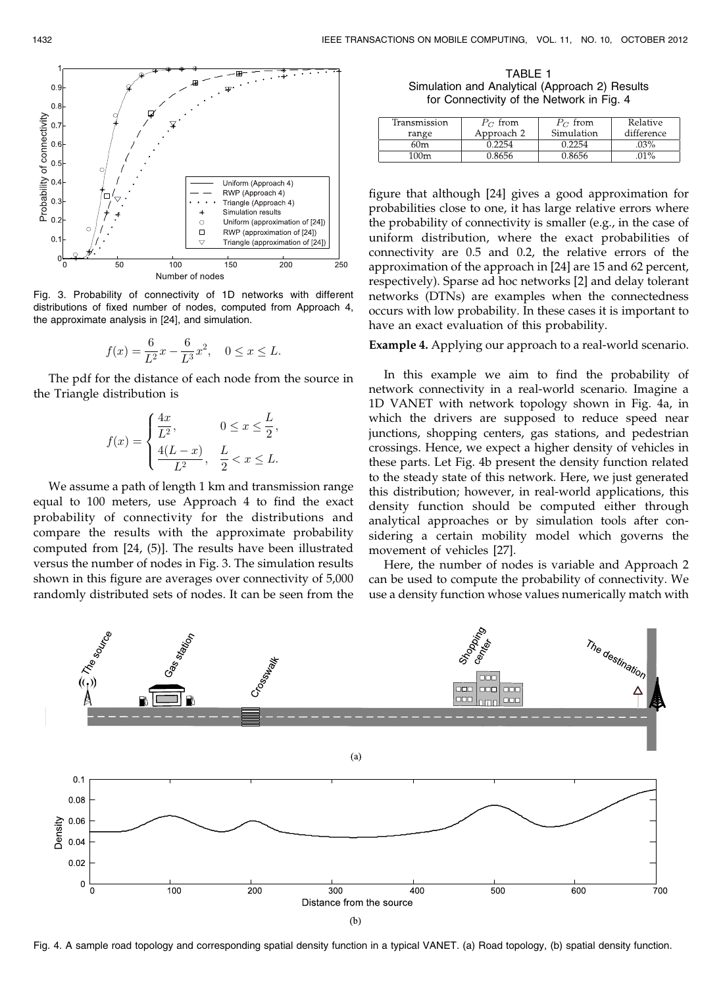

Fig. 3. Probability of connectivity of 1D networks with different distributions of fixed number of nodes, computed from Approach 4, the approximate analysis in [24], and simulation.

$$
f(x) = \frac{6}{L^2}x - \frac{6}{L^3}x^2, \quad 0 \le x \le L.
$$

The pdf for the distance of each node from the source in the Triangle distribution is

$$
f(x)=\begin{cases}\frac{4x}{L^2},&0\leq x\leq \frac{L}{2},\\ \frac{4(L-x)}{L^2},&\frac{L}{2}
$$

We assume a path of length 1 km and transmission range equal to 100 meters, use Approach 4 to find the exact probability of connectivity for the distributions and compare the results with the approximate probability computed from [24, (5)]. The results have been illustrated versus the number of nodes in Fig. 3. The simulation results shown in this figure are averages over connectivity of 5,000 randomly distributed sets of nodes. It can be seen from the

TABLE 1 Simulation and Analytical (Approach 2) Results for Connectivity of the Network in Fig. 4

| Fransmission | $P_C$ from | $P_{C}$ from | Relative   |
|--------------|------------|--------------|------------|
| range        | Approach 2 | Simulation   | difference |
| 60m          | 2254       | 1.2254       | 03%        |
| .00m         | ).8656     | 0 8656       | ነ1%        |

figure that although [24] gives a good approximation for probabilities close to one, it has large relative errors where the probability of connectivity is smaller (e.g., in the case of uniform distribution, where the exact probabilities of connectivity are 0.5 and 0.2, the relative errors of the approximation of the approach in [24] are 15 and 62 percent, respectively). Sparse ad hoc networks [2] and delay tolerant networks (DTNs) are examples when the connectedness occurs with low probability. In these cases it is important to have an exact evaluation of this probability.

Example 4. Applying our approach to a real-world scenario.

In this example we aim to find the probability of network connectivity in a real-world scenario. Imagine a 1D VANET with network topology shown in Fig. 4a, in which the drivers are supposed to reduce speed near junctions, shopping centers, gas stations, and pedestrian crossings. Hence, we expect a higher density of vehicles in these parts. Let Fig. 4b present the density function related to the steady state of this network. Here, we just generated this distribution; however, in real-world applications, this density function should be computed either through analytical approaches or by simulation tools after considering a certain mobility model which governs the movement of vehicles [27].

Here, the number of nodes is variable and Approach 2 can be used to compute the probability of connectivity. We use a density function whose values numerically match with



Fig. 4. A sample road topology and corresponding spatial density function in a typical VANET. (a) Road topology, (b) spatial density function.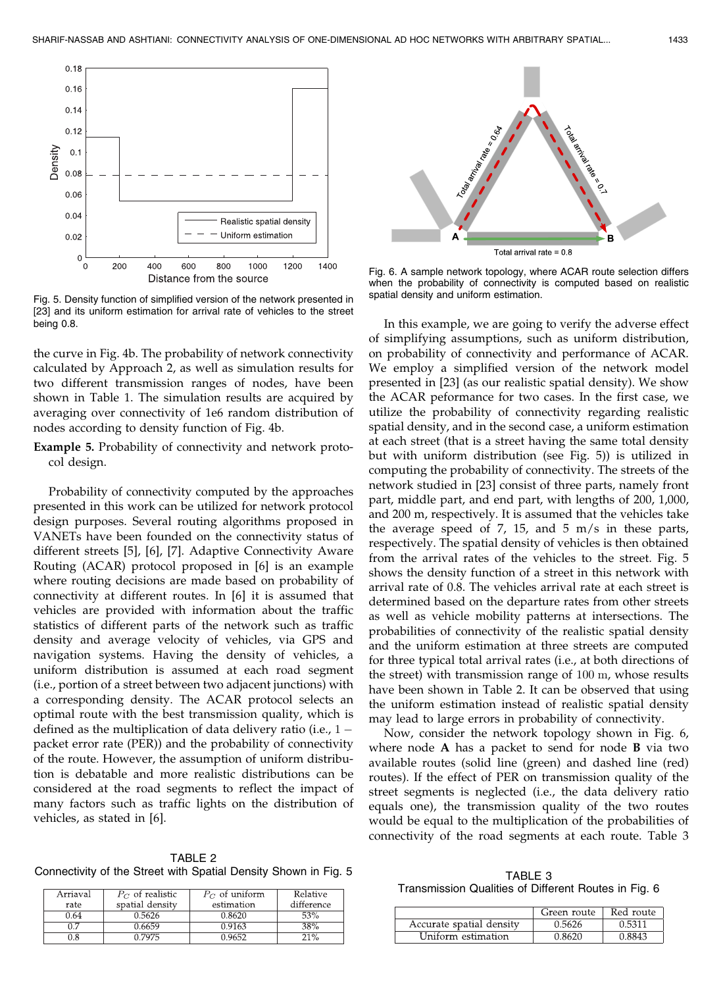

Fig. 5. Density function of simplified version of the network presented in [23] and its uniform estimation for arrival rate of vehicles to the street being 0.8.

the curve in Fig. 4b. The probability of network connectivity calculated by Approach 2, as well as simulation results for two different transmission ranges of nodes, have been shown in Table 1. The simulation results are acquired by averaging over connectivity of 1e6 random distribution of nodes according to density function of Fig. 4b.

Example 5. Probability of connectivity and network protocol design.

Probability of connectivity computed by the approaches presented in this work can be utilized for network protocol design purposes. Several routing algorithms proposed in VANETs have been founded on the connectivity status of different streets [5], [6], [7]. Adaptive Connectivity Aware Routing (ACAR) protocol proposed in [6] is an example where routing decisions are made based on probability of connectivity at different routes. In [6] it is assumed that vehicles are provided with information about the traffic statistics of different parts of the network such as traffic density and average velocity of vehicles, via GPS and navigation systems. Having the density of vehicles, a uniform distribution is assumed at each road segment (i.e., portion of a street between two adjacent junctions) with a corresponding density. The ACAR protocol selects an optimal route with the best transmission quality, which is defined as the multiplication of data delivery ratio (i.e.,  $1$ packet error rate (PER)) and the probability of connectivity of the route. However, the assumption of uniform distribution is debatable and more realistic distributions can be considered at the road segments to reflect the impact of many factors such as traffic lights on the distribution of vehicles, as stated in [6].

TABLE 2 Connectivity of the Street with Spatial Density Shown in Fig. 5

| Arriaval | $P_C$ of realistic | $P_C$ of uniform | Relative   |
|----------|--------------------|------------------|------------|
| rate     | spatial density    | estimation       | difference |
| 1.64     | 0.5626             | Ი 8620           |            |
| 0.Z      | 1.6659             | 0.9163           |            |
|          |                    |                  |            |



Total arrival rate  $= 0.8$ 

Fig. 6. A sample network topology, where ACAR route selection differs when the probability of connectivity is computed based on realistic spatial density and uniform estimation.

In this example, we are going to verify the adverse effect of simplifying assumptions, such as uniform distribution, on probability of connectivity and performance of ACAR. We employ a simplified version of the network model presented in [23] (as our realistic spatial density). We show the ACAR peformance for two cases. In the first case, we utilize the probability of connectivity regarding realistic spatial density, and in the second case, a uniform estimation at each street (that is a street having the same total density but with uniform distribution (see Fig. 5)) is utilized in computing the probability of connectivity. The streets of the network studied in [23] consist of three parts, namely front part, middle part, and end part, with lengths of 200, 1,000, and 200 m, respectively. It is assumed that the vehicles take the average speed of 7, 15, and 5  $m/s$  in these parts, respectively. The spatial density of vehicles is then obtained from the arrival rates of the vehicles to the street. Fig. 5 shows the density function of a street in this network with arrival rate of 0.8. The vehicles arrival rate at each street is determined based on the departure rates from other streets as well as vehicle mobility patterns at intersections. The probabilities of connectivity of the realistic spatial density and the uniform estimation at three streets are computed for three typical total arrival rates (i.e., at both directions of the street) with transmission range of 100 m, whose results have been shown in Table 2. It can be observed that using the uniform estimation instead of realistic spatial density may lead to large errors in probability of connectivity.

Now, consider the network topology shown in Fig. 6, where node A has a packet to send for node B via two available routes (solid line (green) and dashed line (red) routes). If the effect of PER on transmission quality of the street segments is neglected (i.e., the data delivery ratio equals one), the transmission quality of the two routes would be equal to the multiplication of the probabilities of connectivity of the road segments at each route. Table 3

TABLE 3 Transmission Qualities of Different Routes in Fig. 6

|                          | Green route | Red route |
|--------------------------|-------------|-----------|
| Accurate spatial density | 0.5626      | 0.5311    |
| Uniform estimation       | Ი 8620      | 0.8843    |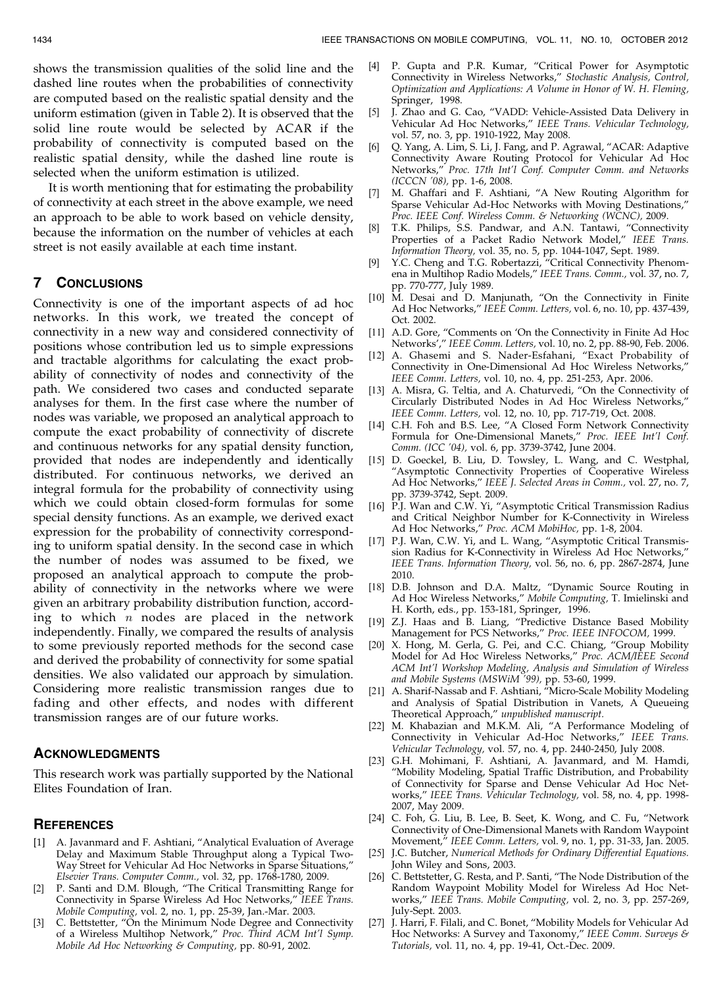shows the transmission qualities of the solid line and the dashed line routes when the probabilities of connectivity are computed based on the realistic spatial density and the uniform estimation (given in Table 2). It is observed that the solid line route would be selected by ACAR if the probability of connectivity is computed based on the realistic spatial density, while the dashed line route is selected when the uniform estimation is utilized.

It is worth mentioning that for estimating the probability of connectivity at each street in the above example, we need an approach to be able to work based on vehicle density, because the information on the number of vehicles at each street is not easily available at each time instant.

## 7 CONCLUSIONS

Connectivity is one of the important aspects of ad hoc networks. In this work, we treated the concept of connectivity in a new way and considered connectivity of positions whose contribution led us to simple expressions and tractable algorithms for calculating the exact probability of connectivity of nodes and connectivity of the path. We considered two cases and conducted separate analyses for them. In the first case where the number of nodes was variable, we proposed an analytical approach to compute the exact probability of connectivity of discrete and continuous networks for any spatial density function, provided that nodes are independently and identically distributed. For continuous networks, we derived an integral formula for the probability of connectivity using which we could obtain closed-form formulas for some special density functions. As an example, we derived exact expression for the probability of connectivity corresponding to uniform spatial density. In the second case in which the number of nodes was assumed to be fixed, we proposed an analytical approach to compute the probability of connectivity in the networks where we were given an arbitrary probability distribution function, according to which  $n$  nodes are placed in the network independently. Finally, we compared the results of analysis to some previously reported methods for the second case and derived the probability of connectivity for some spatial densities. We also validated our approach by simulation. Considering more realistic transmission ranges due to fading and other effects, and nodes with different transmission ranges are of our future works.

## ACKNOWLEDGMENTS

This research work was partially supported by the National Elites Foundation of Iran.

#### **REFERENCES**

- [1] A. Javanmard and F. Ashtiani, "Analytical Evaluation of Average Delay and Maximum Stable Throughput along a Typical Two-Way Street for Vehicular Ad Hoc Networks in Sparse Situations," Elsevier Trans. Computer Comm., vol. 32, pp. 1768-1780, 2009.
- [2] P. Santi and D.M. Blough, "The Critical Transmitting Range for Connectivity in Sparse Wireless Ad Hoc Networks," IEEE Trans. Mobile Computing, vol. 2, no. 1, pp. 25-39, Jan.-Mar. 2003.
- [3] C. Bettstetter, "On the Minimum Node Degree and Connectivity of a Wireless Multihop Network," Proc. Third ACM Int'l Symp. Mobile Ad Hoc Networking & Computing, pp. 80-91, 2002.
- [4] P. Gupta and P.R. Kumar, "Critical Power for Asymptotic Connectivity in Wireless Networks," Stochastic Analysis, Control, Optimization and Applications: A Volume in Honor of W. H. Fleming, Springer, 1998.
- [5] J. Zhao and G. Cao, "VADD: Vehicle-Assisted Data Delivery in Vehicular Ad Hoc Networks," IEEE Trans. Vehicular Technology, vol. 57, no. 3, pp. 1910-1922, May 2008.
- [6] Q. Yang, A. Lim, S. Li, J. Fang, and P. Agrawal, "ACAR: Adaptive Connectivity Aware Routing Protocol for Vehicular Ad Hoc Networks," Proc. 17th Int'l Conf. Computer Comm. and Networks (ICCCN '08), pp. 1-6, 2008.
- [7] M. Ghaffari and F. Ashtiani, "A New Routing Algorithm for Sparse Vehicular Ad-Hoc Networks with Moving Destinations," Proc. IEEE Conf. Wireless Comm. & Networking (WCNC), 2009.
- [8] T.K. Philips, S.S. Pandwar, and A.N. Tantawi, "Connectivity Properties of a Packet Radio Network Model," IEEE Trans. Information Theory, vol. 35, no. 5, pp. 1044-1047, Sept. 1989.
- [9] Y.C. Cheng and T.G. Robertazzi, "Critical Connectivity Phenomena in Multihop Radio Models," IEEE Trans. Comm., vol. 37, no. 7, pp. 770-777, July 1989.
- [10] M. Desai and D. Manjunath, "On the Connectivity in Finite Ad Hoc Networks," IEEE Comm. Letters, vol. 6, no. 10, pp. 437-439, Oct. 2002.
- [11] A.D. Gore, "Comments on 'On the Connectivity in Finite Ad Hoc Networks'," IEEE Comm. Letters, vol. 10, no. 2, pp. 88-90, Feb. 2006.
- [12] A. Ghasemi and S. Nader-Esfahani, "Exact Probability of Connectivity in One-Dimensional Ad Hoc Wireless Networks," IEEE Comm. Letters, vol. 10, no. 4, pp. 251-253, Apr. 2006.
- [13] A. Misra, G. Teltia, and A. Chaturvedi, "On the Connectivity of Circularly Distributed Nodes in Ad Hoc Wireless Networks," IEEE Comm. Letters, vol. 12, no. 10, pp. 717-719, Oct. 2008.
- [14] C.H. Foh and B.S. Lee, "A Closed Form Network Connectivity Formula for One-Dimensional Manets," Proc. IEEE Int'l Conf. Comm. (ICC '04), vol. 6, pp. 3739-3742, June 2004.
- [15] D. Goeckel, B. Liu, D. Towsley, L. Wang, and C. Westphal, "Asymptotic Connectivity Properties of Cooperative Wireless Ad Hoc Networks," IEEE J. Selected Areas in Comm., vol. 27, no. 7, pp. 3739-3742, Sept. 2009.
- [16] P.J. Wan and C.W. Yi, "Asymptotic Critical Transmission Radius and Critical Neighbor Number for K-Connectivity in Wireless Ad Hoc Networks," Proc. ACM MobiHoc, pp. 1-8, 2004.
- [17] P.J. Wan, C.W. Yi, and L. Wang, "Asymptotic Critical Transmission Radius for K-Connectivity in Wireless Ad Hoc Networks," IEEE Trans. Information Theory, vol. 56, no. 6, pp. 2867-2874, June 2010.
- [18] D.B. Johnson and D.A. Maltz, "Dynamic Source Routing in Ad Hoc Wireless Networks," Mobile Computing, T. Imielinski and H. Korth, eds., pp. 153-181, Springer, 1996.
- [19] Z.J. Haas and B. Liang, "Predictive Distance Based Mobility Management for PCS Networks," Proc. IEEE INFOCOM, 1999.
- [20] X. Hong, M. Gerla, G. Pei, and C.C. Chiang, "Group Mobility Model for Ad Hoc Wireless Networks," Proc. ACM/IEEE Second ACM Int'l Workshop Modeling, Analysis and Simulation of Wireless and Mobile Systems (MSWiM '99), pp. 53-60, 1999.
- [21] A. Sharif-Nassab and F. Ashtiani, "Micro-Scale Mobility Modeling and Analysis of Spatial Distribution in Vanets, A Queueing Theoretical Approach," unpublished manuscript.
- [22] M. Khabazian and M.K.M. Ali, "A Performance Modeling of Connectivity in Vehicular Ad-Hoc Networks," IEEE Trans. Vehicular Technology, vol. 57, no. 4, pp. 2440-2450, July 2008.
- [23] G.H. Mohimani, F. Ashtiani, A. Javanmard, and M. Hamdi, "Mobility Modeling, Spatial Traffic Distribution, and Probability of Connectivity for Sparse and Dense Vehicular Ad Hoc Networks," IEEE Trans. Vehicular Technology, vol. 58, no. 4, pp. 1998- 2007, May 2009.
- [24] C. Foh, G. Liu, B. Lee, B. Seet, K. Wong, and C. Fu, "Network Connectivity of One-Dimensional Manets with Random Waypoint Movement," IEEE Comm. Letters, vol. 9, no. 1, pp. 31-33, Jan. 2005.
- [25] J.C. Butcher, Numerical Methods for Ordinary Differential Equations. John Wiley and Sons, 2003.
- [26] C. Bettstetter, G. Resta, and P. Santi, "The Node Distribution of the Random Waypoint Mobility Model for Wireless Ad Hoc Networks," IEEE Trans. Mobile Computing, vol. 2, no. 3, pp. 257-269, July-Sept. 2003.
- [27] J. Harri, F. Filali, and C. Bonet, "Mobility Models for Vehicular Ad Hoc Networks: A Survey and Taxonomy," IEEE Comm. Surveys & Tutorials, vol. 11, no. 4, pp. 19-41, Oct.-Dec. 2009.